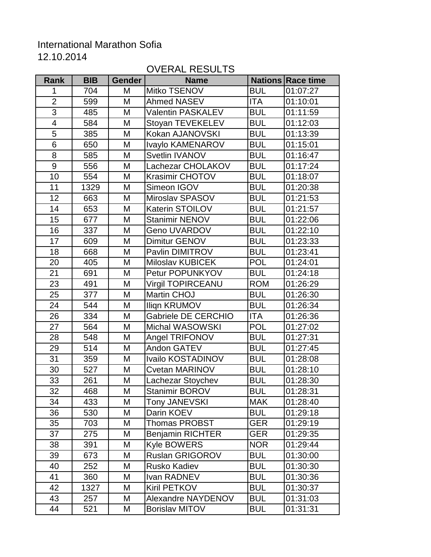## International Marathon Sofia

12.10.2014

## OVERAL RESULTS

| <b>Rank</b>             | <b>BIB</b> | <b>Gender</b> | <b>Name</b>                |            | <b>Nations Race time</b> |
|-------------------------|------------|---------------|----------------------------|------------|--------------------------|
| 1                       | 704        | M             | Mitko TSENOV               | <b>BUL</b> | 01:07:27                 |
| $\overline{2}$          | 599        | M             | <b>Ahmed NASEV</b>         | <b>ITA</b> | 01:10:01                 |
| $\overline{3}$          | 485        | M             | <b>Valentin PASKALEV</b>   | <b>BUL</b> | 01:11:59                 |
| $\overline{\mathbf{4}}$ | 584        | M             | Stoyan TEVEKELEV           | <b>BUL</b> | 01:12:03                 |
| 5                       | 385        | M             | Kokan AJANOVSKI            | <b>BUL</b> | 01:13:39                 |
| 6                       | 650        | M             | Ivaylo KAMENAROV           | <b>BUL</b> | 01:15:01                 |
| 8                       | 585        | M             | <b>Svetlin IVANOV</b>      | <b>BUL</b> | 01:16:47                 |
| 9                       | 556        | M             | Lachezar CHOLAKOV          | <b>BUL</b> | 01:17:24                 |
| 10                      | 554        | M             | <b>Krasimir CHOTOV</b>     | <b>BUL</b> | 01:18:07                 |
| 11                      | 1329       | M             | Simeon IGOV                | <b>BUL</b> | 01:20:38                 |
| 12                      | 663        | M             | Miroslav SPASOV            | <b>BUL</b> | 01:21:53                 |
| 14                      | 653        | M             | <b>Katerin STOILOV</b>     | <b>BUL</b> | 01:21:57                 |
| 15                      | 677        | M             | <b>Stanimir NENOV</b>      | <b>BUL</b> | 01:22:06                 |
| 16                      | 337        | M             | <b>Geno UVARDOV</b>        | <b>BUL</b> | 01:22:10                 |
| 17                      | 609        | M             | Dimitur GENOV              | <b>BUL</b> | 01:23:33                 |
| 18                      | 668        | M             | Pavlin DIMITROV            | <b>BUL</b> | 01:23:41                 |
| 20                      | 405        | M             | <b>Miloslav KUBICEK</b>    | <b>POL</b> | 01:24:01                 |
| 21                      | 691        | M             | Petur POPUNKYOV            | <b>BUL</b> | 01:24:18                 |
| 23                      | 491        | M             | <b>Virgil TOPIRCEANU</b>   | <b>ROM</b> | 01:26:29                 |
| 25                      | 377        | M             | Martin CHOJ                | <b>BUL</b> | 01:26:30                 |
| 24                      | 544        | M             | <b>Ilign KRUMOV</b>        | <b>BUL</b> | 01:26:34                 |
| 26                      | 334        | M             | <b>Gabriele DE CERCHIO</b> | ITA        | 01:26:36                 |
| 27                      | 564        | M             | <b>Michal WASOWSKI</b>     | <b>POL</b> | 01:27:02                 |
| 28                      | 548        | M             | Angel TRIFONOV             | <b>BUL</b> | 01:27:31                 |
| 29                      | 514        | M             | Andon GATEV                | <b>BUL</b> | 01:27:45                 |
| 31                      | 359        | M             | Ivailo KOSTADINOV          | <b>BUL</b> | 01:28:08                 |
| 30                      | 527        | M             | <b>Cvetan MARINOV</b>      | <b>BUL</b> | 01:28:10                 |
| 33                      | 261        | M             | Lachezar Stoychev          | <b>BUL</b> | 01:28:30                 |
| 32                      | 468        | M             | Stanimir BOROV             | <b>BUL</b> | 01:28:31                 |
| 34                      | 433        | M             | Tony JANEVSKI              | <b>MAK</b> | 01:28:40                 |
| 36                      | 530        | M             | Darin KOEV                 | <b>BUL</b> | 01:29:18                 |
| 35                      | 703        | M             | Thomas PROBST              | <b>GER</b> | 01:29:19                 |
| 37                      | 275        | M             | <b>Benjamin RICHTER</b>    | <b>GER</b> | 01:29:35                 |
| 38                      | 391        | M             | <b>Kyle BOWERS</b>         | <b>NOR</b> | 01:29:44                 |
| 39                      | 673        | M             | <b>Ruslan GRIGOROV</b>     | <b>BUL</b> | 01:30:00                 |
| 40                      | 252        | M             | <b>Rusko Kadiev</b>        | <b>BUL</b> | 01:30:30                 |
| 41                      | 360        | M             | Ivan RADNEV                | <b>BUL</b> | 01:30:36                 |
| 42                      | 1327       | M             | Kiril PETKOV               | <b>BUL</b> | 01:30:37                 |
| 43                      | 257        | M             | Alexandre NAYDENOV         | <b>BUL</b> | 01:31:03                 |
| 44                      | 521        | M             | <b>Borislav MITOV</b>      | <b>BUL</b> | 01:31:31                 |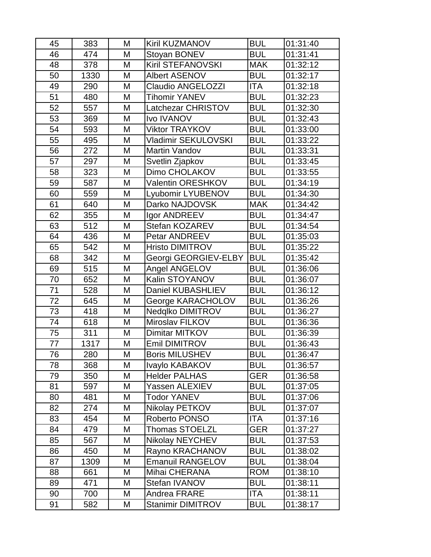| 45 | 383  | Μ | Kiril KUZMANOV           | <b>BUL</b> | 01:31:40 |
|----|------|---|--------------------------|------------|----------|
| 46 | 474  | M | Stoyan BONEV             | <b>BUL</b> | 01:31:41 |
| 48 | 378  | M | Kiril STEFANOVSKI        | <b>MAK</b> | 01:32:12 |
| 50 | 1330 | M | <b>Albert ASENOV</b>     | <b>BUL</b> | 01:32:17 |
| 49 | 290  | M | <b>Claudio ANGELOZZI</b> | ITA        | 01:32:18 |
| 51 | 480  | M | Tihomir YANEV            | <b>BUL</b> | 01:32:23 |
| 52 | 557  | M | Latchezar CHRISTOV       | <b>BUL</b> | 01:32:30 |
| 53 | 369  | M | <b>Ivo IVANOV</b>        | <b>BUL</b> | 01:32:43 |
| 54 | 593  | M | <b>Viktor TRAYKOV</b>    | <b>BUL</b> | 01:33:00 |
| 55 | 495  | M | Vladimir SEKULOVSKI      | <b>BUL</b> | 01:33:22 |
| 56 | 272  | M | Martin Vandov            | <b>BUL</b> | 01:33:31 |
| 57 | 297  | M | Svetlin Zjapkov          | <b>BUL</b> | 01:33:45 |
| 58 | 323  | M | Dimo CHOLAKOV            | <b>BUL</b> | 01:33:55 |
| 59 | 587  | M | <b>Valentin ORESHKOV</b> | <b>BUL</b> | 01:34:19 |
| 60 | 559  | M | Lyubomir LYUBENOV        | <b>BUL</b> | 01:34:30 |
| 61 | 640  | M | Darko NAJDOVSK           | <b>MAK</b> | 01:34:42 |
| 62 | 355  | M | Igor ANDREEV             | <b>BUL</b> | 01:34:47 |
| 63 | 512  | M | Stefan KOZAREV           | <b>BUL</b> | 01:34:54 |
| 64 | 436  | M | Petar ANDREEV            | <b>BUL</b> | 01:35:03 |
| 65 | 542  | M | <b>Hristo DIMITROV</b>   | <b>BUL</b> | 01:35:22 |
| 68 | 342  | M | Georgi GEORGIEV-ELBY     | <b>BUL</b> | 01:35:42 |
| 69 | 515  | M | Angel ANGELOV            | <b>BUL</b> | 01:36:06 |
| 70 | 652  | M | Kalin STOYANOV           | <b>BUL</b> | 01:36:07 |
| 71 | 528  | M | Daniel KUBASHLIEV        | <b>BUL</b> | 01:36:12 |
| 72 | 645  | M | George KARACHOLOV        | <b>BUL</b> | 01:36:26 |
| 73 | 418  | M | Nedqlko DIMITROV         | <b>BUL</b> | 01:36:27 |
| 74 | 618  | M | Miroslav FILKOV          | <b>BUL</b> | 01:36:36 |
| 75 | 311  | M | Dimitar MITKOV           | <b>BUL</b> | 01:36:39 |
| 77 | 1317 | M | Emil DIMITROV            | <b>BUL</b> | 01:36:43 |
| 76 | 280  | M | <b>Boris MILUSHEV</b>    | <b>BUL</b> | 01:36:47 |
| 78 | 368  | М | Ivaylo KABAKOV           | <b>BUL</b> | 01:36:57 |
| 79 | 350  | Μ | <b>Helder PALHAS</b>     | <b>GER</b> | 01:36:58 |
| 81 | 597  | М | Yassen ALEXIEV           | <b>BUL</b> | 01:37:05 |
| 80 | 481  | Μ | <b>Todor YANEV</b>       | <b>BUL</b> | 01:37:06 |
| 82 | 274  | M | Nikolay PETKOV           | <b>BUL</b> | 01:37:07 |
| 83 | 454  | М | Roberto PONSO            | ITA        | 01:37:16 |
| 84 | 479  | М | <b>Thomas STOELZL</b>    | <b>GER</b> | 01:37:27 |
| 85 | 567  | Μ | <b>Nikolay NEYCHEV</b>   | <b>BUL</b> | 01:37:53 |
| 86 | 450  | Μ | Rayno KRACHANOV          | <b>BUL</b> | 01:38:02 |
| 87 | 1309 | Μ | <b>Emanuil RANGELOV</b>  | <b>BUL</b> | 01:38:04 |
| 88 | 661  | Μ | Mihai CHERANA            | <b>ROM</b> | 01:38:10 |
| 89 | 471  | M | Stefan IVANOV            | <b>BUL</b> | 01:38:11 |
| 90 | 700  | Μ | Andrea FRARE             | ITA        | 01:38:11 |
| 91 | 582  | M | <b>Stanimir DIMITROV</b> | <b>BUL</b> | 01:38:17 |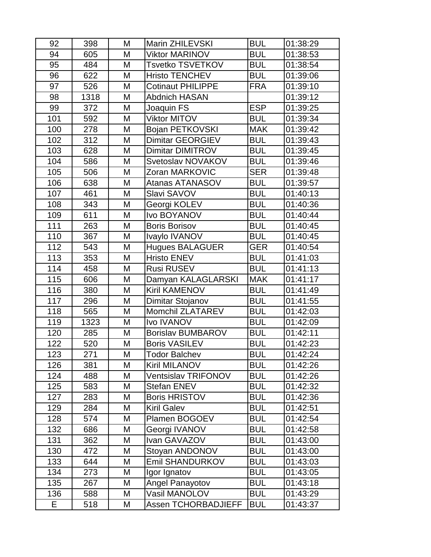| 92  | 398  | М | <b>Marin ZHILEVSKI</b>     | <b>BUL</b> | 01:38:29 |
|-----|------|---|----------------------------|------------|----------|
| 94  | 605  | M | <b>Viktor MARINOV</b>      | <b>BUL</b> | 01:38:53 |
| 95  | 484  | M | Tsvetko TSVETKOV           | <b>BUL</b> | 01:38:54 |
| 96  | 622  | M | <b>Hristo TENCHEV</b>      | <b>BUL</b> | 01:39:06 |
| 97  | 526  | M | <b>Cotinaut PHILIPPE</b>   | <b>FRA</b> | 01:39:10 |
| 98  | 1318 | M | Abdnich HASAN              |            | 01:39:12 |
| 99  | 372  | M | Joaquin FS                 | <b>ESP</b> | 01:39:25 |
| 101 | 592  | M | <b>Viktor MITOV</b>        | <b>BUL</b> | 01:39:34 |
| 100 | 278  | M | Bojan PETKOVSKI            | <b>MAK</b> | 01:39:42 |
| 102 | 312  | M | Dimitar GEORGIEV           | <b>BUL</b> | 01:39:43 |
| 103 | 628  | M | <b>Dimitar DIMITROV</b>    | <b>BUL</b> | 01:39:45 |
| 104 | 586  | M | Svetoslav NOVAKOV          | <b>BUL</b> | 01:39:46 |
| 105 | 506  | M | Zoran MARKOVIC             | <b>SER</b> | 01:39:48 |
| 106 | 638  | M | <b>Atanas ATANASOV</b>     | <b>BUL</b> | 01:39:57 |
| 107 | 461  | M | Slavi SAVOV                | <b>BUL</b> | 01:40:13 |
| 108 | 343  | M | Georgi KOLEV               | <b>BUL</b> | 01:40:36 |
| 109 | 611  | M | Ivo BOYANOV                | <b>BUL</b> | 01:40:44 |
| 111 | 263  | M | <b>Boris Borisov</b>       | <b>BUL</b> | 01:40:45 |
| 110 | 367  | M | Ivaylo IVANOV              | <b>BUL</b> | 01:40:45 |
| 112 | 543  | M | <b>Hugues BALAGUER</b>     | <b>GER</b> | 01:40:54 |
| 113 | 353  | M | <b>Hristo ENEV</b>         | <b>BUL</b> | 01:41:03 |
| 114 | 458  | M | <b>Rusi RUSEV</b>          | <b>BUL</b> | 01:41:13 |
| 115 | 606  | M | Damyan KALAGLARSKI         | <b>MAK</b> | 01:41:17 |
| 116 | 380  | M | <b>Kiril KAMENOV</b>       | <b>BUL</b> | 01:41:49 |
| 117 | 296  | M | Dimitar Stojanov           | <b>BUL</b> | 01:41:55 |
| 118 | 565  | M | <b>Momchil ZLATAREV</b>    | <b>BUL</b> | 01:42:03 |
| 119 | 1323 | M | <b>Ivo IVANOV</b>          | <b>BUL</b> | 01:42:09 |
| 120 | 285  | M | <b>Borislav BUMBAROV</b>   | <b>BUL</b> | 01:42:11 |
| 122 | 520  | M | <b>Boris VASILEV</b>       | <b>BUL</b> | 01:42:23 |
| 123 | 271  | M | <b>Todor Balchev</b>       | <b>BUL</b> | 01:42:24 |
| 126 | 381  | M | Kiril MILANOV              | <b>BUL</b> | 01:42:26 |
| 124 | 488  | М | Ventsislav TRIFONOV        | <b>BUL</b> | 01:42:26 |
| 125 | 583  | M | <b>Stefan ENEV</b>         | <b>BUL</b> | 01:42:32 |
| 127 | 283  | M | <b>Boris HRISTOV</b>       | <b>BUL</b> | 01:42:36 |
| 129 | 284  | M | <b>Kiril Galev</b>         | <b>BUL</b> | 01:42:51 |
| 128 | 574  | M | Plamen BOGOEV              | <b>BUL</b> | 01:42:54 |
| 132 | 686  | Μ | Georgi IVANOV              | <b>BUL</b> | 01:42:58 |
| 131 | 362  | М | Ivan GAVAZOV               | <b>BUL</b> | 01:43:00 |
| 130 | 472  | М | Stoyan ANDONOV             | <b>BUL</b> | 01:43:00 |
| 133 | 644  | M | <b>Emil SHANDURKOV</b>     | <b>BUL</b> | 01:43:03 |
| 134 | 273  | М | Igor Ignatov               | <b>BUL</b> | 01:43:05 |
| 135 | 267  | Μ | <b>Angel Panayotov</b>     | <b>BUL</b> | 01:43:18 |
| 136 | 588  | М | Vasil MANOLOV              | <b>BUL</b> | 01:43:29 |
| E   | 518  | Μ | <b>Assen TCHORBADJIEFF</b> | <b>BUL</b> | 01:43:37 |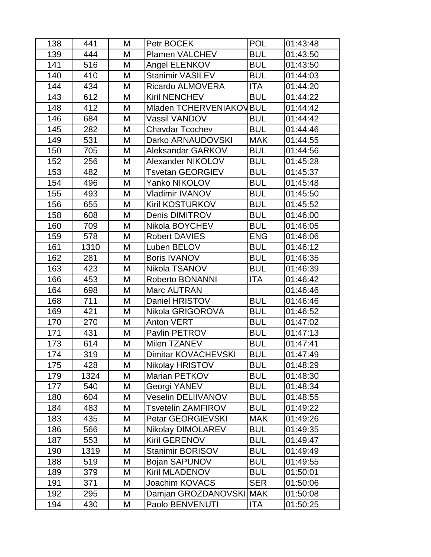| 138 | 441  | Μ | Petr BOCEK               | <b>POL</b> | 01:43:48 |
|-----|------|---|--------------------------|------------|----------|
| 139 | 444  | M | <b>Plamen VALCHEV</b>    | <b>BUL</b> | 01:43:50 |
| 141 | 516  | M | Angel ELENKOV            | <b>BUL</b> | 01:43:50 |
| 140 | 410  | M | <b>Stanimir VASILEV</b>  | <b>BUL</b> | 01:44:03 |
| 144 | 434  | M | <b>Ricardo ALMOVERA</b>  | ITA        | 01:44:20 |
| 143 | 612  | M | <b>Kiril NENCHEV</b>     | <b>BUL</b> | 01:44:22 |
| 148 | 412  | M | Mladen TCHERVENIAKOVBUL  |            | 01:44:42 |
| 146 | 684  | M | Vassil VANDOV            | <b>BUL</b> | 01:44:42 |
| 145 | 282  | M | Chavdar Tcochev          | <b>BUL</b> | 01:44:46 |
| 149 | 531  | M | Darko ARNAUDOVSKI        | <b>MAK</b> | 01:44:55 |
| 150 | 705  | M | Aleksandar GARKOV        | <b>BUL</b> | 01:44:56 |
| 152 | 256  | M | <b>Alexander NIKOLOV</b> | <b>BUL</b> | 01:45:28 |
| 153 | 482  | M | Tsvetan GEORGIEV         | <b>BUL</b> | 01:45:37 |
| 154 | 496  | M | Yanko NIKOLOV            | <b>BUL</b> | 01:45:48 |
| 155 | 493  | M | Vladimir IVANOV          | <b>BUL</b> | 01:45:50 |
| 156 | 655  | M | <b>Kiril KOSTURKOV</b>   | <b>BUL</b> | 01:45:52 |
| 158 | 608  | M | <b>Denis DIMITROV</b>    | <b>BUL</b> | 01:46:00 |
| 160 | 709  | M | Nikola BOYCHEV           | <b>BUL</b> | 01:46:05 |
| 159 | 578  | M | <b>Robert DAVIES</b>     | <b>ENG</b> | 01:46:06 |
| 161 | 1310 | M | Luben BELOV              | <b>BUL</b> | 01:46:12 |
| 162 | 281  | M | <b>Boris IVANOV</b>      | <b>BUL</b> | 01:46:35 |
| 163 | 423  | M | Nikola TSANOV            | <b>BUL</b> | 01:46:39 |
| 166 | 453  | M | <b>Roberto BONANNI</b>   | <b>ITA</b> | 01:46:42 |
| 164 | 698  | M | <b>Marc AUTRAN</b>       |            | 01:46:46 |
| 168 | 711  | M | Daniel HRISTOV           | <b>BUL</b> | 01:46:46 |
| 169 | 421  | M | Nikola GRIGOROVA         | <b>BUL</b> | 01:46:52 |
| 170 | 270  | Μ | <b>Anton VERT</b>        | <b>BUL</b> | 01:47:02 |
| 171 | 431  | M | Pavlin PETROV            | <b>BUL</b> | 01:47:13 |
| 173 | 614  | M | Milen TZANEV             | <b>BUL</b> | 01:47:41 |
| 174 | 319  | M | Dimitar KOVACHEVSKI      | <b>BUL</b> | 01:47:49 |
| 175 | 428  | Μ | Nikolay HRISTOV          | <b>BUL</b> | 01:48:29 |
| 179 | 1324 | Μ | Marian PETKOV            | <b>BUL</b> | 01:48:30 |
| 177 | 540  | Μ | Georgi YANEV             | <b>BUL</b> | 01:48:34 |
| 180 | 604  | М | Veselin DELIIVANOV       | <b>BUL</b> | 01:48:55 |
| 184 | 483  | M | Tsvetelin ZAMFIROV       | <b>BUL</b> | 01:49:22 |
| 183 | 435  | Μ | Petar GEORGIEVSKI        | <b>MAK</b> | 01:49:26 |
| 186 | 566  | M | <b>Nikolay DIMOLAREV</b> | <b>BUL</b> | 01:49:35 |
| 187 | 553  | M | <b>Kiril GERENOV</b>     | <b>BUL</b> | 01:49:47 |
| 190 | 1319 | M | <b>Stanimir BORISOV</b>  | <b>BUL</b> | 01:49:49 |
| 188 | 519  | Μ | Bojan SAPUNOV            | <b>BUL</b> | 01:49:55 |
| 189 | 379  | Μ | <b>Kiril MLADENOV</b>    | <b>BUL</b> | 01:50:01 |
| 191 | 371  | M | Joachim KOVACS           | <b>SER</b> | 01:50:06 |
| 192 | 295  | Μ | Damjan GROZDANOVSKI MAK  |            | 01:50:08 |
| 194 | 430  | M | Paolo BENVENUTI          | ITA        | 01:50:25 |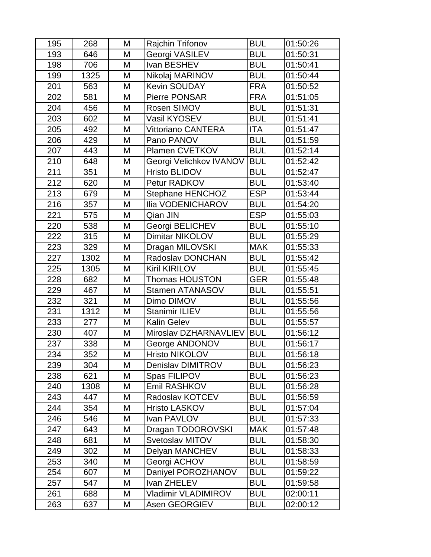| 195 | 268  | М | <b>Rajchin Trifonov</b> | <b>BUL</b> | 01:50:26 |
|-----|------|---|-------------------------|------------|----------|
| 193 | 646  | M | Georgi VASILEV          | <b>BUL</b> | 01:50:31 |
| 198 | 706  | M | Ivan BESHEV             | <b>BUL</b> | 01:50:41 |
| 199 | 1325 | M | Nikolaj MARINOV         | <b>BUL</b> | 01:50:44 |
| 201 | 563  | M | <b>Kevin SOUDAY</b>     | <b>FRA</b> | 01:50:52 |
| 202 | 581  | M | <b>Pierre PONSAR</b>    | <b>FRA</b> | 01:51:05 |
| 204 | 456  | M | Rosen SIMOV             | <b>BUL</b> | 01:51:31 |
| 203 | 602  | M | Vasil KYOSEV            | <b>BUL</b> | 01:51:41 |
| 205 | 492  | M | Vittoriano CANTERA      | ITA        | 01:51:47 |
| 206 | 429  | M | Pano PANOV              | <b>BUL</b> | 01:51:59 |
| 207 | 443  | M | Plamen CVETKOV          | <b>BUL</b> | 01:52:14 |
| 210 | 648  | M | Georgi Velichkov IVANOV | <b>BUL</b> | 01:52:42 |
| 211 | 351  | M | <b>Hristo BLIDOV</b>    | <b>BUL</b> | 01:52:47 |
| 212 | 620  | M | Petur RADKOV            | <b>BUL</b> | 01:53:40 |
| 213 | 679  | M | <b>Stephane HENCHOZ</b> | <b>ESP</b> | 01:53:44 |
| 216 | 357  | M | Ilia VODENICHAROV       | <b>BUL</b> | 01:54:20 |
| 221 | 575  | M | Qian JIN                | <b>ESP</b> | 01:55:03 |
| 220 | 538  | M | Georgi BELICHEV         | <b>BUL</b> | 01:55:10 |
| 222 | 315  | M | Dimitar NIKOLOV         | <b>BUL</b> | 01:55:29 |
| 223 | 329  | M | Dragan MILOVSKI         | <b>MAK</b> | 01:55:33 |
| 227 | 1302 | M | <b>Radoslav DONCHAN</b> | <b>BUL</b> | 01:55:42 |
| 225 | 1305 | M | <b>Kiril KIRILOV</b>    | <b>BUL</b> | 01:55:45 |
| 228 | 682  | M | <b>Thomas HOUSTON</b>   | GER        | 01:55:48 |
| 229 | 467  | M | <b>Stamen ATANASOV</b>  | <b>BUL</b> | 01:55:51 |
| 232 | 321  | M | Dimo DIMOV              | <b>BUL</b> | 01:55:56 |
| 231 | 1312 | M | Stanimir ILIEV          | <b>BUL</b> | 01:55:56 |
| 233 | 277  | M | <b>Kalin Gelev</b>      | <b>BUL</b> | 01:55:57 |
| 230 | 407  | M | Miroslav DZHARNAVLIEV   | <b>BUL</b> | 01:56:12 |
| 237 | 338  | M | George ANDONOV          | <b>BUL</b> | 01:56:17 |
| 234 | 352  | M | Hristo NIKOLOV          | <b>BUL</b> | 01:56:18 |
| 239 | 304  | Μ | Denislav DIMITROV       | <b>BUL</b> | 01:56:23 |
| 238 | 621  | М | Spas FILIPOV            | <b>BUL</b> | 01:56:23 |
| 240 | 1308 | M | <b>Emil RASHKOV</b>     | <b>BUL</b> | 01:56:28 |
| 243 | 447  | М | Radoslav KOTCEV         | <b>BUL</b> | 01:56:59 |
| 244 | 354  | M | <b>Hristo LASKOV</b>    | <b>BUL</b> | 01:57:04 |
| 246 | 546  | М | Ivan PAVLOV             | <b>BUL</b> | 01:57:33 |
| 247 | 643  | Μ | Dragan TODOROVSKI       | <b>MAK</b> | 01:57:48 |
| 248 | 681  | М | Svetoslav MITOV         | <b>BUL</b> | 01:58:30 |
| 249 | 302  | М | Delyan MANCHEV          | <b>BUL</b> | 01:58:33 |
| 253 | 340  | M | Georgi ACHOV            | <b>BUL</b> | 01:58:59 |
| 254 | 607  | М | Daniyel POROZHANOV      | <b>BUL</b> | 01:59:22 |
| 257 | 547  | Μ | Ivan ZHELEV             | <b>BUL</b> | 01:59:58 |
| 261 | 688  | М | Vladimir VLADIMIROV     | <b>BUL</b> | 02:00:11 |
| 263 | 637  | М | <b>Asen GEORGIEV</b>    | <b>BUL</b> | 02:00:12 |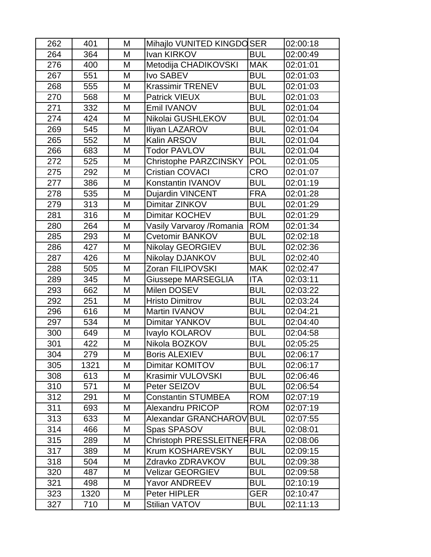| 262 | 401  | Μ | Mihajlo VUNITED KINGDOSER    |            | 02:00:18 |
|-----|------|---|------------------------------|------------|----------|
| 264 | 364  | M | Ivan KIRKOV                  | <b>BUL</b> | 02:00:49 |
| 276 | 400  | M | Metodija CHADIKOVSKI         | <b>MAK</b> | 02:01:01 |
| 267 | 551  | M | Ivo SABEV                    | <b>BUL</b> | 02:01:03 |
| 268 | 555  | M | <b>Krassimir TRENEV</b>      | <b>BUL</b> | 02:01:03 |
| 270 | 568  | M | Patrick VIEUX                | <b>BUL</b> | 02:01:03 |
| 271 | 332  | M | Emil IVANOV                  | <b>BUL</b> | 02:01:04 |
| 274 | 424  | M | Nikolai GUSHLEKOV            | <b>BUL</b> | 02:01:04 |
| 269 | 545  | M | Iliyan LAZAROV               | <b>BUL</b> | 02:01:04 |
| 265 | 552  | M | Kalin ARSOV                  | <b>BUL</b> | 02:01:04 |
| 266 | 683  | M | <b>Todor PAVLOV</b>          | <b>BUL</b> | 02:01:04 |
| 272 | 525  | M | <b>Christophe PARZCINSKY</b> | <b>POL</b> | 02:01:05 |
| 275 | 292  | M | <b>Cristian COVACI</b>       | <b>CRO</b> | 02:01:07 |
| 277 | 386  | M | Konstantin IVANOV            | <b>BUL</b> | 02:01:19 |
| 278 | 535  | M | <b>Dujardin VINCENT</b>      | <b>FRA</b> | 02:01:28 |
| 279 | 313  | M | Dimitar ZINKOV               | <b>BUL</b> | 02:01:29 |
| 281 | 316  | M | Dimitar KOCHEV               | <b>BUL</b> | 02:01:29 |
| 280 | 264  | M | Vasily Varvaroy /Romania     | <b>ROM</b> | 02:01:34 |
| 285 | 293  | M | Cvetomir BANKOV              | <b>BUL</b> | 02:02:18 |
| 286 | 427  | M | <b>Nikolay GEORGIEV</b>      | <b>BUL</b> | 02:02:36 |
| 287 | 426  | M | Nikolay DJANKOV              | <b>BUL</b> | 02:02:40 |
| 288 | 505  | M | Zoran FILIPOVSKI             | <b>MAK</b> | 02:02:47 |
| 289 | 345  | M | <b>Giussepe MARSEGLIA</b>    | ITA        | 02:03:11 |
| 293 | 662  | M | Milen DOSEV                  | <b>BUL</b> | 02:03:22 |
| 292 | 251  | M | <b>Hristo Dimitrov</b>       | <b>BUL</b> | 02:03:24 |
| 296 | 616  | M | Martin IVANOV                | <b>BUL</b> | 02:04:21 |
| 297 | 534  | M | Dimitar YANKOV               | <b>BUL</b> | 02:04:40 |
| 300 | 649  | M | Ivaylo KOLAROV               | <b>BUL</b> | 02:04:58 |
| 301 | 422  | M | Nikola BOZKOV                | <b>BUL</b> | 02:05:25 |
| 304 | 279  | M | <b>Boris ALEXIEV</b>         | <b>BUL</b> | 02:06:17 |
| 305 | 1321 | M | Dimitar KOMITOV              | BUL        | 02:06:17 |
| 308 | 613  | M | <b>Krasimir VULOVSKI</b>     | <b>BUL</b> | 02:06:46 |
| 310 | 571  | M | Peter SEIZOV                 | <b>BUL</b> | 02:06:54 |
| 312 | 291  | M | <b>Constantin STUMBEA</b>    | <b>ROM</b> | 02:07:19 |
| 311 | 693  | M | <b>Alexandru PRICOP</b>      | <b>ROM</b> | 02:07:19 |
| 313 | 633  | M | Alexandar GRANCHAROV BUL     |            | 02:07:55 |
| 314 | 466  | M | Spas SPASOV                  | <b>BUL</b> | 02:08:01 |
| 315 | 289  | M | Christoph PRESSLEITNERFRA    |            | 02:08:06 |
| 317 | 389  | M | Krum KOSHAREVSKY             | <b>BUL</b> | 02:09:15 |
| 318 | 504  | M | Zdravko ZDRAVKOV             | BUL        | 02:09:38 |
| 320 | 487  | M | <b>Velizar GEORGIEV</b>      | <b>BUL</b> | 02:09:58 |
| 321 | 498  | M | Yavor ANDREEV                | <b>BUL</b> | 02:10:19 |
| 323 | 1320 | M | Peter HIPLER                 | <b>GER</b> | 02:10:47 |
| 327 | 710  | M | Stilian VATOV                | <b>BUL</b> | 02:11:13 |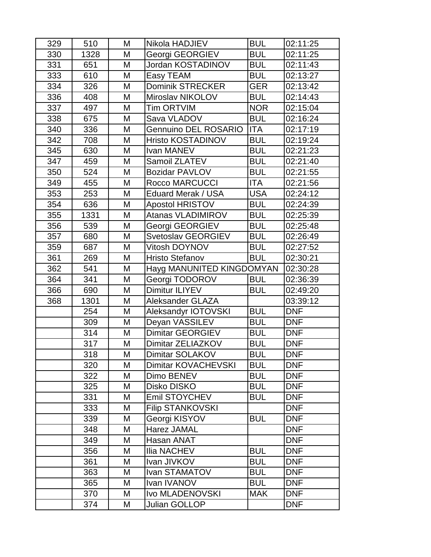| 329 | 510  | M | Nikola HADJIEV            | <b>BUL</b> | 02:11:25   |
|-----|------|---|---------------------------|------------|------------|
| 330 | 1328 | M | Georgi GEORGIEV           | <b>BUL</b> | 02:11:25   |
| 331 | 651  | M | Jordan KOSTADINOV         | <b>BUL</b> | 02:11:43   |
| 333 | 610  | M | Easy TEAM                 | <b>BUL</b> | 02:13:27   |
| 334 | 326  | M | <b>Dominik STRECKER</b>   | GER        | 02:13:42   |
| 336 | 408  | M | Miroslav NIKOLOV          | <b>BUL</b> | 02:14:43   |
| 337 | 497  | M | <b>Tim ORTVIM</b>         | <b>NOR</b> | 02:15:04   |
| 338 | 675  | M | Sava VLADOV               | <b>BUL</b> | 02:16:24   |
| 340 | 336  | M | Gennuino DEL ROSARIO      | <b>ITA</b> | 02:17:19   |
| 342 | 708  | M | <b>Hristo KOSTADINOV</b>  | <b>BUL</b> | 02:19:24   |
| 345 | 630  | M | Ivan MANEV                | <b>BUL</b> | 02:21:23   |
| 347 | 459  | M | Samoil ZLATEV             | <b>BUL</b> | 02:21:40   |
| 350 | 524  | M | <b>Bozidar PAVLOV</b>     | <b>BUL</b> | 02:21:55   |
| 349 | 455  | M | <b>Rocco MARCUCCI</b>     | <b>ITA</b> | 02:21:56   |
| 353 | 253  | M | <b>Eduard Merak / USA</b> | <b>USA</b> | 02:24:12   |
| 354 | 636  | M | <b>Apostol HRISTOV</b>    | <b>BUL</b> | 02:24:39   |
| 355 | 1331 | M | <b>Atanas VLADIMIROV</b>  | <b>BUL</b> | 02:25:39   |
| 356 | 539  | M | Georgi GEORGIEV           | <b>BUL</b> | 02:25:48   |
| 357 | 680  | M | Svetoslav GEORGIEV        | <b>BUL</b> | 02:26:49   |
| 359 | 687  | M | Vitosh DOYNOV             | <b>BUL</b> | 02:27:52   |
| 361 | 269  | M | <b>Hristo Stefanov</b>    | <b>BUL</b> | 02:30:21   |
| 362 | 541  | M | Hayg MANUNITED KINGDOMYAN |            | 02:30:28   |
| 364 | 341  | M | Georgi TODOROV            | <b>BUL</b> | 02:36:39   |
| 366 | 690  | M | Dimitur ILIYEV            | <b>BUL</b> | 02:49:20   |
| 368 | 1301 | M | <b>Aleksander GLAZA</b>   |            | 03:39:12   |
|     | 254  | M | Aleksandyr IOTOVSKI       | <b>BUL</b> | <b>DNF</b> |
|     | 309  | M | Deyan VASSILEV            | <b>BUL</b> | <b>DNF</b> |
|     | 314  | M | <b>Dimitar GEORGIEV</b>   | <b>BUL</b> | <b>DNF</b> |
|     | 317  | M | Dimitar ZELIAZKOV         | <b>BUL</b> | <b>DNF</b> |
|     | 318  | M | Dimitar SOLAKOV           | <b>BUL</b> | <b>DNF</b> |
|     | 320  | M | Dimitar KOVACHEVSKI       | <b>BUL</b> | <b>DNF</b> |
|     | 322  | M | Dimo BENEV                | <b>BUL</b> | <b>DNF</b> |
|     | 325  | M | Disko DISKO               | <b>BUL</b> | <b>DNF</b> |
|     | 331  | M | <b>Emil STOYCHEV</b>      | <b>BUL</b> | <b>DNF</b> |
|     | 333  | M | <b>Filip STANKOVSKI</b>   |            | <b>DNF</b> |
|     | 339  | M | Georgi KISYOV             | <b>BUL</b> | <b>DNF</b> |
|     | 348  | M | Harez JAMAL               |            | <b>DNF</b> |
|     | 349  | M | Hasan ANAT                |            | <b>DNF</b> |
|     | 356  | M | Ilia NACHEV               | <b>BUL</b> | <b>DNF</b> |
|     | 361  | M | Ivan JIVKOV               | <b>BUL</b> | <b>DNF</b> |
|     | 363  | M | Ivan STAMATOV             | <b>BUL</b> | <b>DNF</b> |
|     | 365  | M | Ivan IVANOV               | <b>BUL</b> | <b>DNF</b> |
|     | 370  | M | Ivo MLADENOVSKI           | <b>MAK</b> | <b>DNF</b> |
|     | 374  | M | Julian GOLLOP             |            | <b>DNF</b> |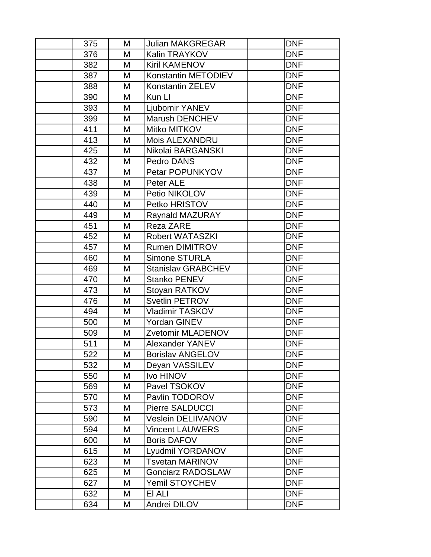| 375 | M | <b>Julian MAKGREGAR</b>   | <b>DNF</b> |
|-----|---|---------------------------|------------|
| 376 | M | Kalin TRAYKOV             | <b>DNF</b> |
| 382 | M | <b>Kiril KAMENOV</b>      | <b>DNF</b> |
| 387 | M | Konstantin METODIEV       | <b>DNF</b> |
| 388 | M | Konstantin ZELEV          | <b>DNF</b> |
| 390 | M | Kun LI                    | <b>DNF</b> |
| 393 | M | Ljubomir YANEV            | <b>DNF</b> |
| 399 | M | Marush DENCHEV            | <b>DNF</b> |
| 411 | M | Mitko MITKOV              | <b>DNF</b> |
| 413 | M | Mois ALEXANDRU            | <b>DNF</b> |
| 425 | M | Nikolai BARGANSKI         | <b>DNF</b> |
| 432 | M | Pedro DANS                | <b>DNF</b> |
| 437 | M | Petar POPUNKYOV           | <b>DNF</b> |
| 438 | M | Peter ALE                 | <b>DNF</b> |
| 439 | M | Petio NIKOLOV             | <b>DNF</b> |
| 440 | M | Petko HRISTOV             | <b>DNF</b> |
| 449 | M | <b>Raynald MAZURAY</b>    | <b>DNF</b> |
| 451 | M | Reza ZARE                 | <b>DNF</b> |
| 452 | M | <b>Robert WATASZKI</b>    | <b>DNF</b> |
| 457 | M | <b>Rumen DIMITROV</b>     | <b>DNF</b> |
| 460 | M | Simone STURLA             | <b>DNF</b> |
| 469 | M | <b>Stanislav GRABCHEV</b> | <b>DNF</b> |
| 470 | M | Stanko PENEV              | <b>DNF</b> |
| 473 | M | Stoyan RATKOV             | <b>DNF</b> |
| 476 | M | <b>Svetlin PETROV</b>     | <b>DNF</b> |
| 494 | M | Vladimir TASKOV           | <b>DNF</b> |
| 500 | M | Yordan GINEV              | <b>DNF</b> |
| 509 | M | Zvetomir MLADENOV         | <b>DNF</b> |
| 511 | M | <b>Alexander YANEV</b>    | <b>DNF</b> |
| 522 | M | <b>Borislav ANGELOV</b>   | <b>DNF</b> |
| 532 | M | Deyan VASSILEV            | <b>DNF</b> |
| 550 | M | <b>Ivo HINOV</b>          | <b>DNF</b> |
| 569 | M | Pavel TSOKOV              | <b>DNF</b> |
| 570 | M | Pavlin TODOROV            | <b>DNF</b> |
| 573 | M | <b>Pierre SALDUCCI</b>    | <b>DNF</b> |
| 590 | M | <b>Veslein DELIIVANOV</b> | <b>DNF</b> |
| 594 | M | <b>Vincent LAUWERS</b>    | <b>DNF</b> |
| 600 | M | <b>Boris DAFOV</b>        | <b>DNF</b> |
| 615 | M | Lyudmil YORDANOV          | <b>DNF</b> |
| 623 | M | Tsvetan MARINOV           | <b>DNF</b> |
| 625 | M | <b>Gonciarz RADOSLAW</b>  | <b>DNF</b> |
| 627 | M | Yemil STOYCHEV            | <b>DNF</b> |
| 632 | M | EI ALI                    | <b>DNF</b> |
| 634 | M | Andrei DILOV              | <b>DNF</b> |